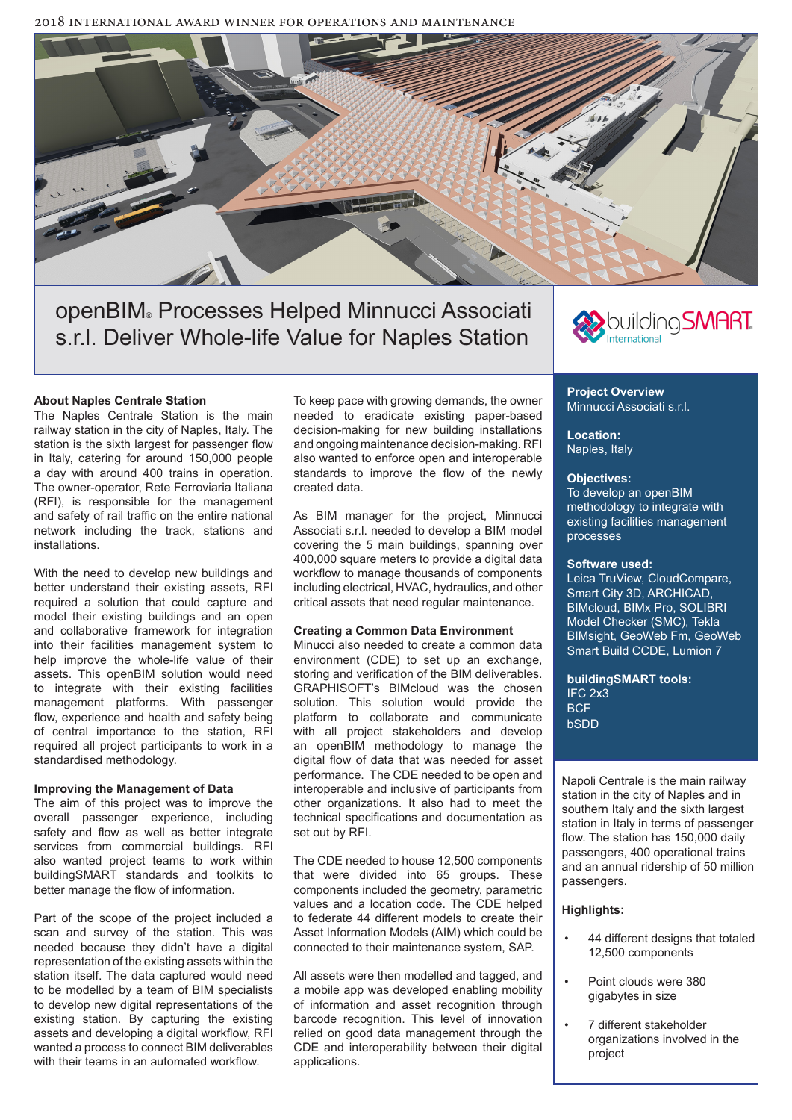2018 international Award Winner for Operations and maintenance



openBIM® Processes Helped Minnucci Associati s.r.l. Deliver Whole-life Value for Naples Station



# **About Naples Centrale Station**

The Naples Centrale Station is the main railway station in the city of Naples, Italy. The station is the sixth largest for passenger flow in Italy, catering for around 150,000 people a day with around 400 trains in operation. The owner-operator, Rete Ferroviaria Italiana (RFI), is responsible for the management and safety of rail traffic on the entire national network including the track, stations and installations.

With the need to develop new buildings and better understand their existing assets, RFI required a solution that could capture and model their existing buildings and an open and collaborative framework for integration into their facilities management system to help improve the whole-life value of their assets. This openBIM solution would need to integrate with their existing facilities management platforms. With passenger flow, experience and health and safety being of central importance to the station, RFI required all project participants to work in a standardised methodology.

#### **Improving the Management of Data**

The aim of this project was to improve the overall passenger experience, including safety and flow as well as better integrate services from commercial buildings. RFI also wanted project teams to work within buildingSMART standards and toolkits to better manage the flow of information.

Part of the scope of the project included a scan and survey of the station. This was needed because they didn't have a digital representation of the existing assets within the station itself. The data captured would need to be modelled by a team of BIM specialists to develop new digital representations of the existing station. By capturing the existing assets and developing a digital workflow, RFI wanted a process to connect BIM deliverables with their teams in an automated workflow.

To keep pace with growing demands, the owner needed to eradicate existing paper-based decision-making for new building installations and ongoing maintenance decision-making. RFI also wanted to enforce open and interoperable standards to improve the flow of the newly created data.

As BIM manager for the project, Minnucci Associati s.r.l. needed to develop a BIM model covering the 5 main buildings, spanning over 400,000 square meters to provide a digital data workflow to manage thousands of components including electrical, HVAC, hydraulics, and other critical assets that need regular maintenance.

#### **Creating a Common Data Environment**

Minucci also needed to create a common data environment (CDE) to set up an exchange, storing and verification of the BIM deliverables. GRAPHISOFT's BIMcloud was the chosen solution. This solution would provide the platform to collaborate and communicate with all project stakeholders and develop an openBIM methodology to manage the digital flow of data that was needed for asset performance. The CDE needed to be open and interoperable and inclusive of participants from other organizations. It also had to meet the technical specifications and documentation as set out by RFI.

The CDE needed to house 12,500 components that were divided into 65 groups. These components included the geometry, parametric values and a location code. The CDE helped to federate 44 different models to create their Asset Information Models (AIM) which could be connected to their maintenance system, SAP.

All assets were then modelled and tagged, and a mobile app was developed enabling mobility of information and asset recognition through barcode recognition. This level of innovation relied on good data management through the CDE and interoperability between their digital applications.

## **Project Overview** Minnucci Associati s.r.l.

**Location:**  Naples, Italy

### **Objectives:**

To develop an openBIM methodology to integrate with existing facilities management processes

### **Software used:**

Leica TruView, CloudCompare, Smart City 3D, ARCHICAD, BIMcloud, BIMx Pro, SOLIBRI Model Checker (SMC), Tekla BIMsight, GeoWeb Fm, GeoWeb Smart Build CCDE, Lumion 7

**buildingSMART tools:** IFC 2x3 **BCF** bSDD

Napoli Centrale is the main railway station in the city of Naples and in southern Italy and the sixth largest station in Italy in terms of passenger flow. The station has 150,000 daily passengers, 400 operational trains and an annual ridership of 50 million passengers.

# **Highlights:**

- 44 different designs that totaled 12,500 components
- Point clouds were 380 gigabytes in size
- 7 different stakeholder organizations involved in the project